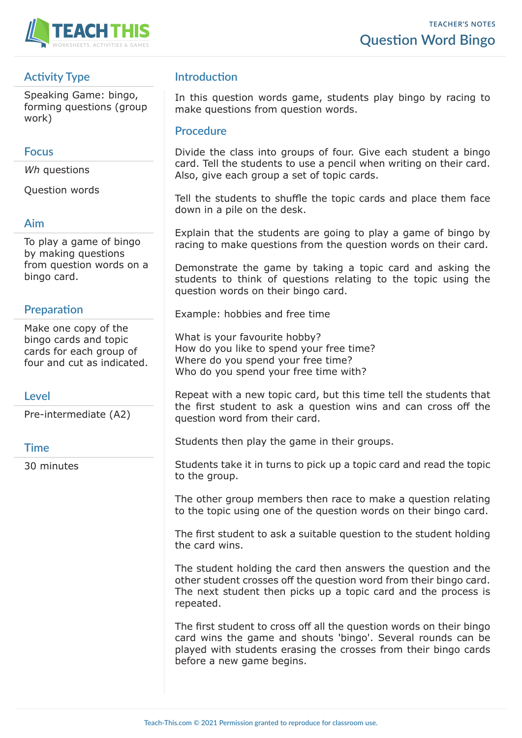

# **Activity Type**

Speaking Game: bingo, forming questions (group work)

#### **Focus**

*Wh* questions

Question words

#### **Aim**

To play a game of bingo by making questions from question words on a bingo card.

### **Preparation**

Make one copy of the bingo cards and topic cards for each group of four and cut as indicated.

#### **Level**

Pre-intermediate (A2)

#### **Time**

30 minutes

## **Introduction**

In this question words game, students play bingo by racing to make questions from question words.

#### **Procedure**

Divide the class into groups of four. Give each student a bingo card. Tell the students to use a pencil when writing on their card. Also, give each group a set of topic cards.

Tell the students to shuffle the topic cards and place them face down in a pile on the desk.

Explain that the students are going to play a game of bingo by racing to make questions from the question words on their card.

Demonstrate the game by taking a topic card and asking the students to think of questions relating to the topic using the question words on their bingo card.

Example: hobbies and free time

What is your favourite hobby? How do you like to spend your free time? Where do you spend your free time? Who do you spend your free time with?

Repeat with a new topic card, but this time tell the students that the first student to ask a question wins and can cross off the question word from their card.

Students then play the game in their groups.

Students take it in turns to pick up a topic card and read the topic to the group.

The other group members then race to make a question relating to the topic using one of the question words on their bingo card.

The first student to ask a suitable question to the student holding the card wins.

The student holding the card then answers the question and the other student crosses off the question word from their bingo card. The next student then picks up a topic card and the process is repeated.

The first student to cross off all the question words on their bingo card wins the game and shouts 'bingo'. Several rounds can be played with students erasing the crosses from their bingo cards before a new game begins.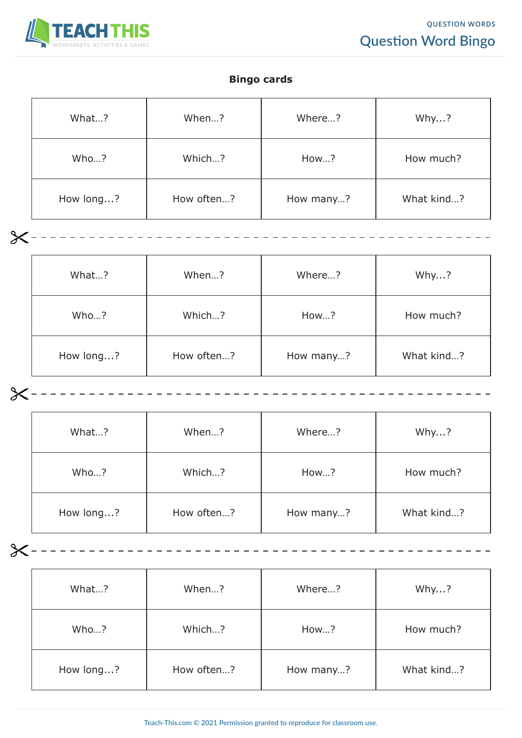

#### **Bingo cards**

| What?     | When?      | Where?    | Why?       |
|-----------|------------|-----------|------------|
| Who?      | Which?     | How?      | How much?  |
| How long? | How often? | How many? | What kind? |

| What?     | When?      | Where?    | Why?       |
|-----------|------------|-----------|------------|
| Who?      | Which?     | How?      | How much?  |
| How long? | How often? | How many? | What kind? |
|           |            |           |            |

| What?     | When?      | Where?    | Why?       |
|-----------|------------|-----------|------------|
| Who?      | Which?     | How?      | How much?  |
| How long? | How often? | How many? | What kind? |

---------------

 $x - - - - - - - - - -$ 

| What?     | When?      | Where?    | Why?       |
|-----------|------------|-----------|------------|
| Who?      | Which?     | How?      | How much?  |
| How long? | How often? | How many? | What kind? |